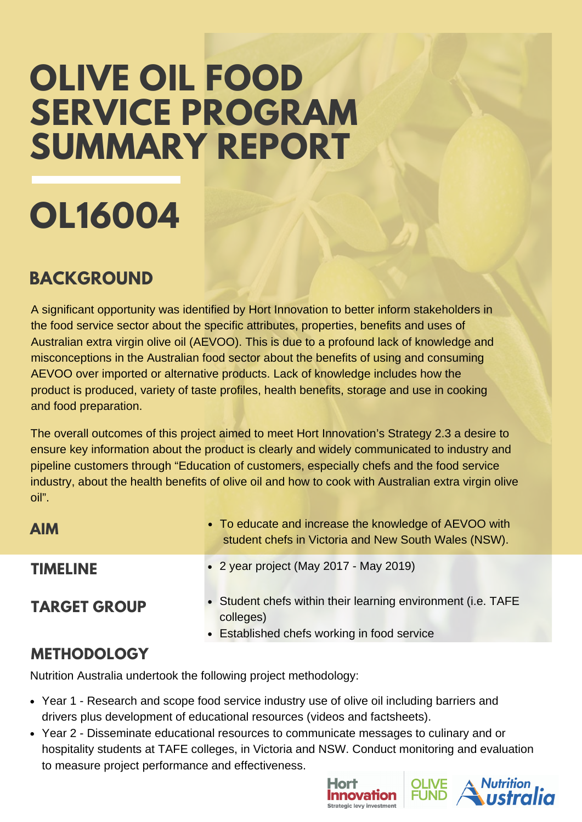## **OLIVE OIL FOOD SERVICE PROGRAM SUMMARY REPORT**

# **OL16004**

#### **BACKGROUND**

A significant opportunity was identified by Hort Innovation to better inform stakeholders in the food service sector about the specific attributes, properties, benefits and uses of Australian extra virgin olive oil (AEVOO). This is due to a profound lack of knowledge and misconceptions in the Australian food sector about the benefits of using and consuming AEVOO over imported or alternative products. Lack of knowledge includes how the product is produced, variety of taste profiles, health benefits, storage and use in cooking and food preparation.

The overall outcomes of this project aimed to meet Hort Innovation's Strategy 2.3 a desire to ensure key information about the product is clearly and widely communicated to industry and pipeline customers through "Education of customers, especially chefs and the food service industry, about the health benefits of olive oil and how to cook with Australian extra virgin olive oil".

| <b>AIM</b>          | • To educate and increase the knowledge of AEVOO with<br>student chefs in Victoria and New South Wales (NSW).            |
|---------------------|--------------------------------------------------------------------------------------------------------------------------|
| <b>TIMELINE</b>     | • 2 year project (May 2017 - May 2019)                                                                                   |
| <b>TARGET GROUP</b> | • Student chefs within their learning environment (i.e. TAFE<br>colleges)<br>• Established chefs working in food service |
|                     |                                                                                                                          |

#### **METHODOLOGY**

Nutrition Australia undertook the following project methodology:

- Year 1 Research and scope food service industry use of olive oil including barriers and drivers plus development of educational resources (videos and factsheets).
- Year 2 Disseminate educational resources to communicate messages to culinary and or hospitality students at TAFE colleges, in Victoria and NSW. Conduct monitoring and evaluation to measure project performance and effectiveness.



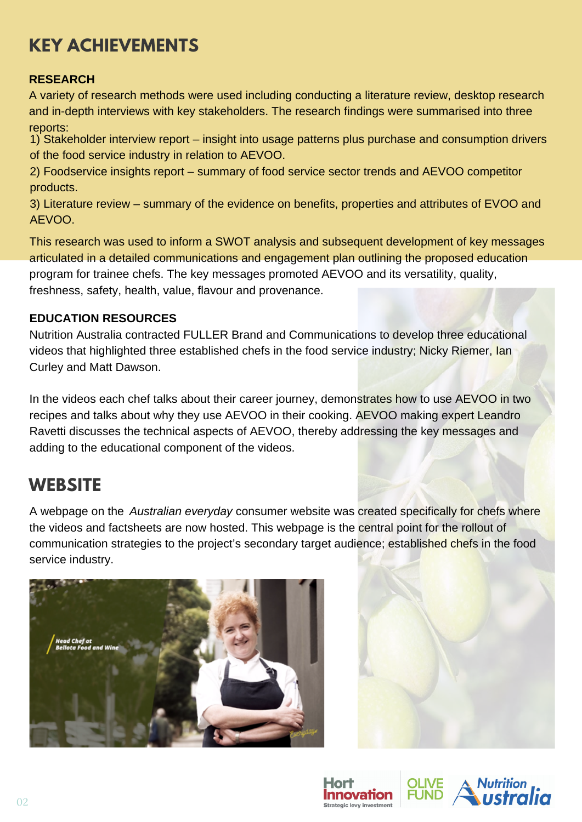## **KEY ACHIEVEMENTS**

#### **RESEARCH**

A variety of research methods were used including conducting a literature review, desktop research and in-depth interviews with key stakeholders. The research findings were summarised into three reports:

1) Stakeholder interview report – insight into usage patterns plus purchase and consumption drivers of the food service industry in relation to AEVOO.

2) Foodservice insights report – summary of food service sector trends and AEVOO competitor products.

3) Literature review – summary of the evidence on benefits, properties and attributes of EVOO and AEVOO.

This research was used to inform a SWOT analysis and subsequent development of key messages articulated in a detailed communications and engagement plan outlining the proposed education program for trainee chefs. The key messages promoted AEVOO and its versatility, quality, freshness, safety, health, value, flavour and provenance.

#### **EDUCATION RESOURCES**

Nutrition Australia contracted FULLER Brand and Communications to develop three educational videos that highlighted three established chefs in the food service industry; Nicky Riemer, Ian Curley and Matt Dawson.

In the videos each chef talks about their career journey, demonstrates how to use AEVOO in two recipes and talks about why they use AEVOO in their cooking. AEVOO making expert Leandro Ravetti discusses the technical aspects of AEVOO, thereby addressing the key messages and adding to the educational component of the videos.

#### **WEBSITE**

A webpage on the *[Australian everyday](https://australianextravirgin.com.au/chefs/)* consumer website was created specifically for chefs where the videos and factsheets are now hosted. This webpage is the central point for the rollout of communication strategies to the project's secondary target audience; established chefs in the food service industry.





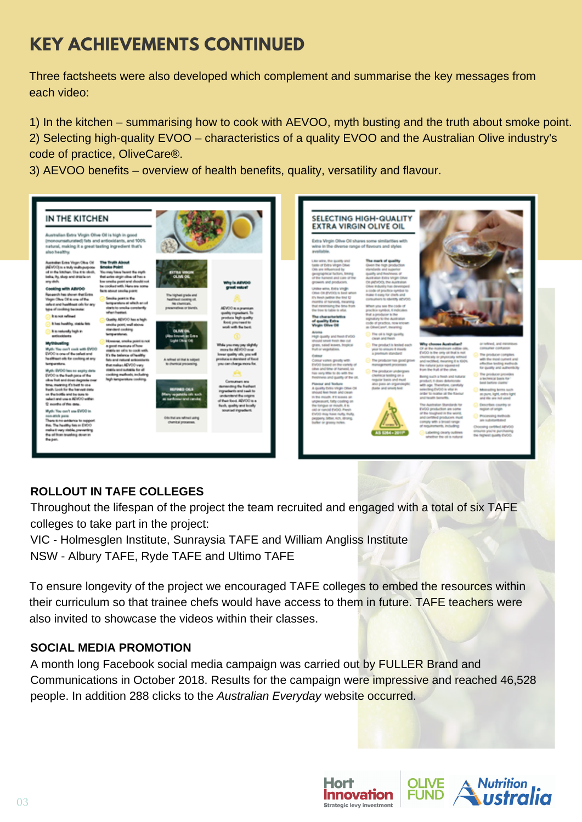## **KEY ACHIEVEMENTS CONTINUED**

Three factsheets were also developed which complement and summarise the key messages from each video:

1) In the kitchen – summarising how to cook with AEVOO, myth busting and the truth about smoke point. 2) Selecting high-quality EVOO – characteristics of a quality EVOO and the Australian Olive industry's code of practice, OliveCare®.

3) AEVOO benefits – overview of health benefits, quality, versatility and flavour.



#### **ROLLOUT IN TAFE COLLEGES**

Throughout the lifespan of the project the team recruited and engaged with a total of six TAFE colleges to take part in the project:

VIC - Holmesglen Institute, Sunraysia TAFE and William Angliss Institute NSW - Albury TAFE, Ryde TAFE and Ultimo TAFE

To ensure longevity of the project we encouraged TAFE colleges to embed the resources within their curriculum so that trainee chefs would have access to them in future. TAFE teachers were also invited to showcase the videos within their classes.

#### **SOCIAL MEDIA PROMOTION**

A month long Facebook social media campaign was carried out by FULLER Brand and Communications in October 2018. Results for the campaign were impressive and reached 46,528 people. In addition 288 clicks to the *Australian Everyday* website occurred.